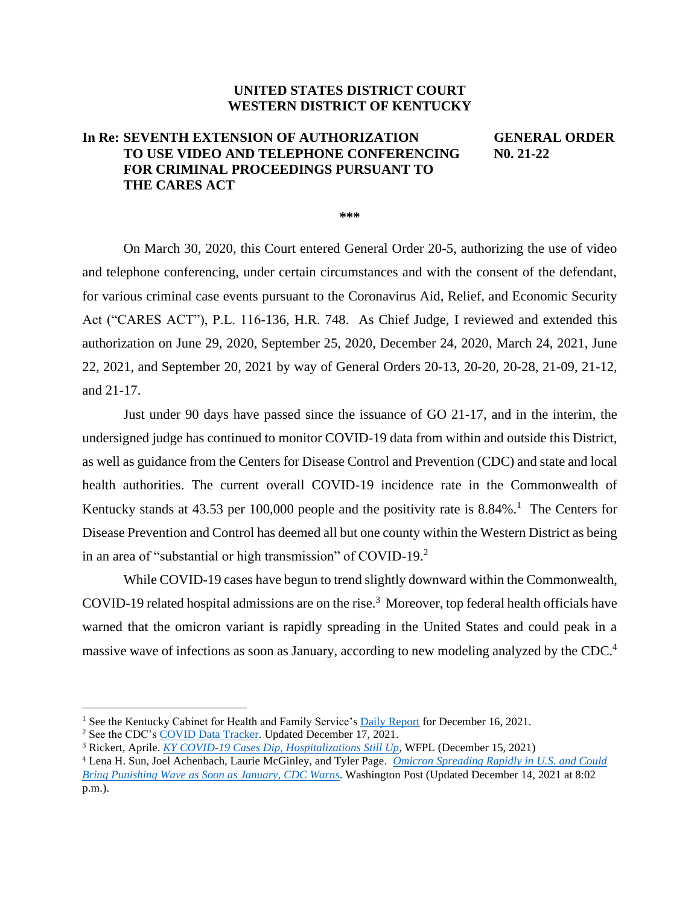## **UNITED STATES DISTRICT COURT WESTERN DISTRICT OF KENTUCKY**

## **In Re: SEVENTH EXTENSION OF AUTHORIZATION GENERAL ORDER TO USE VIDEO AND TELEPHONE CONFERENCING N0. 21-22 FOR CRIMINAL PROCEEDINGS PURSUANT TO THE CARES ACT**

**\*\*\*** 

On March 30, 2020, this Court entered General Order 20-5, authorizing the use of video and telephone conferencing, under certain circumstances and with the consent of the defendant, for various criminal case events pursuant to the Coronavirus Aid, Relief, and Economic Security Act ("CARES ACT"), P.L. 116-136, H.R. 748. As Chief Judge, I reviewed and extended this authorization on June 29, 2020, September 25, 2020, December 24, 2020, March 24, 2021, June 22, 2021, and September 20, 2021 by way of General Orders 20-13, 20-20, 20-28, 21-09, 21-12, and 21-17.

Just under 90 days have passed since the issuance of GO 21-17, and in the interim, the undersigned judge has continued to monitor COVID-19 data from within and outside this District, as well as guidance from the Centers for Disease Control and Prevention (CDC) and state and local health authorities. The current overall COVID-19 incidence rate in the Commonwealth of Kentucky stands at  $43.53$  per  $100,000$  people and the positivity rate is  $8.84\%$ <sup>1</sup>. The Centers for Disease Prevention and Control has deemed all but one county within the Western District as being in an area of "substantial or high transmission" of COVID-19. $2$ 

While COVID-19 cases have begun to trend slightly downward within the Commonwealth, COVID-19 related hospital admissions are on the rise. 3 Moreover, top federal health officials have warned that the omicron variant is rapidly spreading in the United States and could peak in a massive wave of infections as soon as January, according to new modeling analyzed by the CDC.<sup>4</sup>

<sup>&</sup>lt;sup>1</sup> See the Kentucky Cabinet for Health and Family Service's Daily Report for December 16, 2021.

<sup>2</sup> See the CDC's COVID Data Tracker. Updated December 17, 2021.

<sup>3</sup> Rickert, Aprile. *KY COVID-19 Cases Dip, Hospitalizations Still Up*, WFPL (December 15, 2021)

<sup>4</sup> Lena H. Sun, Joel Achenbach, Laurie McGinley, and Tyler Page. *Omicron Spreading Rapidly in U.S. and Could Bring Punishing Wave as Soon as January, CDC Warns*. Washington Post (Updated December 14, 2021 at 8:02 p.m.).